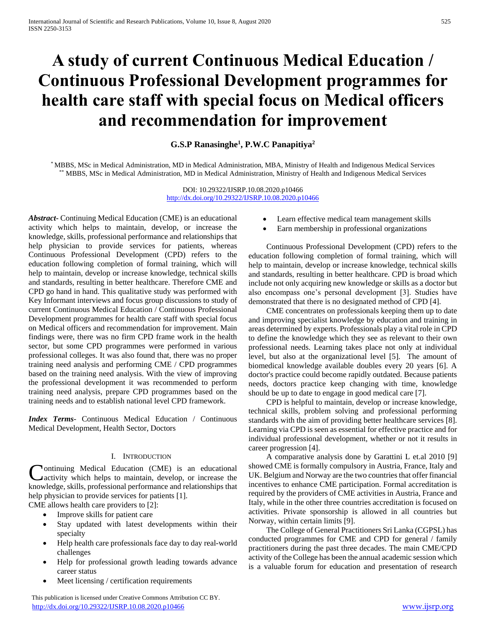# **A study of current Continuous Medical Education / Continuous Professional Development programmes for health care staff with special focus on Medical officers and recommendation for improvement**

## **G.S.P Ranasinghe<sup>1</sup> , P.W.C Panapitiya<sup>2</sup>**

\* MBBS, MSc in Medical Administration, MD in Medical Administration, MBA, Ministry of Health and Indigenous Medical Services \*\* MBBS, MSc in Medical Administration, MD in Medical Administration, Ministry of Health and Indigenous Medical Services

> DOI: 10.29322/IJSRP.10.08.2020.p10466 <http://dx.doi.org/10.29322/IJSRP.10.08.2020.p10466>

*Abstract***-** Continuing Medical Education (CME) is an educational activity which helps to maintain, develop, or increase the knowledge, skills, professional performance and relationships that help physician to provide services for patients, whereas Continuous Professional Development (CPD) refers to the education following completion of formal training, which will help to maintain, develop or increase knowledge, technical skills and standards, resulting in better healthcare. Therefore CME and CPD go hand in hand. This qualitative study was performed with Key Informant interviews and focus group discussions to study of current Continuous Medical Education / Continuous Professional Development programmes for health care staff with special focus on Medical officers and recommendation for improvement. Main findings were, there was no firm CPD frame work in the health sector, but some CPD programmes were performed in various professional colleges. It was also found that, there was no proper training need analysis and performing CME / CPD programmes based on the training need analysis. With the view of improving the professional development it was recommended to perform training need analysis, prepare CPD programmes based on the training needs and to establish national level CPD framework.

*Index Terms*- Continuous Medical Education / Continuous Medical Development, Health Sector, Doctors

#### I. INTRODUCTION

ontinuing Medical Education (CME) is an educational activity which helps to maintain, develop, or increase the **C**ontinuing Medical Education (CME) is an educational activity which helps to maintain, develop, or increase the knowledge, skills, professional performance and relationships that help physician to provide services for patients [1].

- CME allows health care providers to [2]:
	- Improve skills for patient care
	- Stay updated with latest developments within their specialty
	- Help health care professionals face day to day real-world challenges
	- Help for professional growth leading towards advance career status
	- Meet licensing / certification requirements

 This publication is licensed under Creative Commons Attribution CC BY. <http://dx.doi.org/10.29322/IJSRP.10.08.2020.p10466> [www.ijsrp.org](http://ijsrp.org/)

- Learn effective medical team management skills
- Earn membership in professional organizations

 Continuous Professional Development (CPD) refers to the education following completion of formal training, which will help to maintain, develop or increase knowledge, technical skills and standards, resulting in better healthcare. CPD is broad which include not only acquiring new knowledge or skills as a doctor but also encompass one's personal development [3]. Studies have demonstrated that there is no designated method of CPD [4].

 CME concentrates on professionals keeping them up to date and improving specialist knowledge by education and training in areas determined by experts. Professionals play a vital role in CPD to define the knowledge which they see as relevant to their own professional needs. Learning takes place not only at individual level, but also at the organizational level [5]. The amount of biomedical knowledge available doubles every 20 years [6]. A doctor's practice could become rapidly outdated. Because patients needs, doctors practice keep changing with time, knowledge should be up to date to engage in good medical care [7].

 CPD is helpful to maintain, develop or increase knowledge, technical skills, problem solving and professional performing standards with the aim of providing better healthcare services [8]. Learning via CPD is seen as essential for effective practice and for individual professional development, whether or not it results in career progression [4].

 A comparative analysis done by Garattini L et.al 2010 [9] showed CME is formally compulsory in Austria, France, Italy and UK. Belgium and Norway are the two countries that offer financial incentives to enhance CME participation. Formal accreditation is required by the providers of CME activities in Austria, France and Italy, while in the other three countries accreditation is focused on activities. Private sponsorship is allowed in all countries but Norway, within certain limits [9].

 The College of General Practitioners Sri Lanka (CGPSL) has conducted programmes for CME and CPD for general / family practitioners during the past three decades. The main CME/CPD activity of the College has been the annual academic session which is a valuable forum for education and presentation of research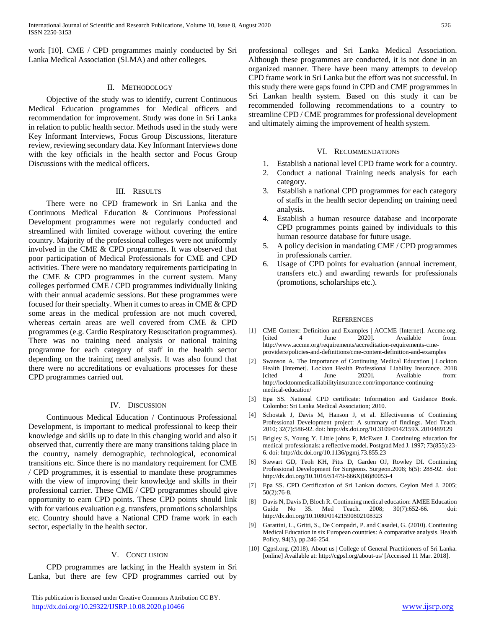work [10]. CME / CPD programmes mainly conducted by Sri Lanka Medical Association (SLMA) and other colleges.

#### II. METHODOLOGY

 Objective of the study was to identify, current Continuous Medical Education programmes for Medical officers and recommendation for improvement. Study was done in Sri Lanka in relation to public health sector. Methods used in the study were Key Informant Interviews, Focus Group Discussions, literature review, reviewing secondary data. Key Informant Interviews done with the key officials in the health sector and Focus Group Discussions with the medical officers.

## III. RESULTS

 There were no CPD framework in Sri Lanka and the Continuous Medical Education & Continuous Professional Development programmes were not regularly conducted and streamlined with limited coverage without covering the entire country. Majority of the professional colleges were not uniformly involved in the CME & CPD programmes. It was observed that poor participation of Medical Professionals for CME and CPD activities. There were no mandatory requirements participating in the CME & CPD programmes in the current system. Many colleges performed CME / CPD programmes individually linking with their annual academic sessions. But these programmes were focused for their specialty. When it comes to areas in CME & CPD some areas in the medical profession are not much covered, whereas certain areas are well covered from CME & CPD programmes (e.g. Cardio Respiratory Resuscitation programmes). There was no training need analysis or national training programme for each category of staff in the health sector depending on the training need analysis. It was also found that there were no accreditations or evaluations processes for these CPD programmes carried out.

## IV. DISCUSSION

 Continuous Medical Education / Continuous Professional Development, is important to medical professional to keep their knowledge and skills up to date in this changing world and also it observed that, currently there are many transitions taking place in the country, namely demographic, technological, economical transitions etc. Since there is no mandatory requirement for CME / CPD programmes, it is essential to mandate these programmes with the view of improving their knowledge and skills in their professional carrier. These CME / CPD programmes should give opportunity to earn CPD points. These CPD points should link with for various evaluation e.g. transfers, promotions scholarships etc. Country should have a National CPD frame work in each sector, especially in the health sector.

#### V. CONCLUSION

 CPD programmes are lacking in the Health system in Sri Lanka, but there are few CPD programmes carried out by

professional colleges and Sri Lanka Medical Association. Although these programmes are conducted, it is not done in an organized manner. There have been many attempts to develop CPD frame work in Sri Lanka but the effort was not successful. In this study there were gaps found in CPD and CME programmes in Sri Lankan health system. Based on this study it can be recommended following recommendations to a country to streamline CPD / CME programmes for professional development and ultimately aiming the improvement of health system.

#### VI. RECOMMENDATIONS

- 1. Establish a national level CPD frame work for a country.
- 2. Conduct a national Training needs analysis for each category.
- 3. Establish a national CPD programmes for each category of staffs in the health sector depending on training need analysis.
- 4. Establish a human resource database and incorporate CPD programmes points gained by individuals to this human resource database for future usage.
- 5. A policy decision in mandating CME / CPD programmes in professionals carrier.
- 6. Usage of CPD points for evaluation (annual increment, transfers etc.) and awarding rewards for professionals (promotions, scholarships etc.).

#### **REFERENCES**

- [1] CME Content: Definition and Examples | ACCME [Internet]. Accme.org. [cited 4 June 2020]. Available from: http://www.accme.org/requirements/accreditation-requirements-cmeproviders/policies-and-definitions/cme-content-definition-and-examples
- [2] Swanson A. The Importance of Continuing Medical Education | Lockton Health [Internet]. Lockton Health Professional Liability Insurance. 2018 [cited 4 June 2020]. Available from: http://locktonmedicalliabilityinsurance.com/importance-continuingmedical-education/
- [3] Epa SS. National CPD certificate: Information and Guidance Book. Colombo: Sri Lanka Medical Association; 2010.
- [4] Schostak J, Davis M, Hanson J, et al. Effectiveness of Continuing Professional Development project: A summary of findings. Med Teach. 2010; 32(7):586-92. doi: http://dx.doi.org/10.3109/0142159X.2010489129
- [5] Brigley S, Young Y, Little johns P, McEwen J. Continuing education for medical professionals: a reflective model. Postgrad Med J. 1997; 73(855):23- 6. doi: http://dx.doi.org/10.1136/pgmj.73.855.23
- [6] Stewart GD, Teoh KH, Pitts D, Garden OJ, Rowley DI. Continuing Professional Development for Surgeons. Surgeon.2008; 6(5): 288-92. doi: http://dx.doi.org/10.1016/S1479-666X(08)80053-4
- [7] Epa SS. CPD Certification of Sri Lankan doctors. Ceylon Med J. 2005; 50(2):76-8.
- [8] Davis N, Davis D, Bloch R. Continuing medical education: AMEE Education Guide No 35. Med Teach. 2008; 30(7):652-66. doi: http://dx.doi.org/10.1080/01421590802108323
- [9] Garattini, L., Gritti, S., De Compadri, P. and Casadei, G. (2010). Continuing Medical Education in six European countries: A comparative analysis. Health Policy, 94(3), pp.246-254.
- [10] Cgpsl.org. (2018). About us | College of General Practitioners of Sri Lanka. [online] Available at: http://cgpsl.org/about-us/ [Accessed 11 Mar. 2018].